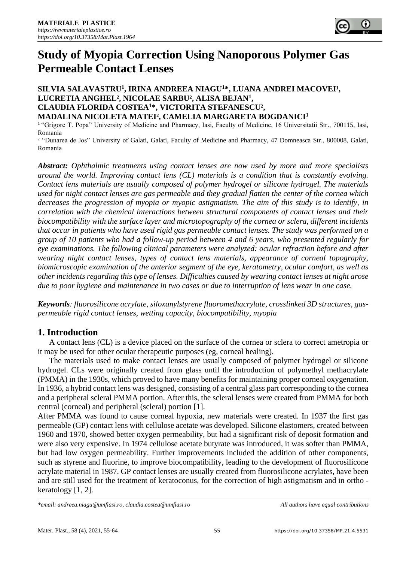

# **Study of Myopia Correction Using Nanoporous Polymer Gas Permeable Contact Lenses**

#### SILVIA SALAVASTRU<sup>1</sup>, IRINA ANDREEA NIAGU<sup>1\*</sup>, LUANA ANDREI MACOVEI<sup>1</sup>, **LUCRETIA ANGHEL², NICOLAE SARBU², ALISA BEJAN<sup>1</sup> , CLAUDIA FLORIDA COSTEA<sup>1</sup>\*, VICTORITA STEFANESCU², MADALINA NICOLETA MATEI², CAMELIA MARGARETA BOGDANICI<sup>1</sup>**

<sup>1</sup> "Grigore T. Popa" University of Medicine and Pharmacy, Iasi, Faculty of Medicine, 16 Universitatii Str., 700115, Iasi, Romania

² "Dunarea de Jos" University of Galati, Galati, Faculty of Medicine and Pharmacy, 47 Domneasca Str., 800008, Galati, [Ro](https://apis.mail.yahoo.com/ws/v3/mailboxes/@.id==VjN-JnmJF3RvE_AHYiLkSe9I9JJSj2b61JmOUY21qwBbCC_wR_6mYSl14EPRpgQ0ERYdUWhjIv2uHVC2R0Wv8Q9VgQ/messages/@.id==AJN8xypnYf6LYRkQoAMBiPhybVE/content/parts/@.id==2/refresh?appid=YMailNorrinLaunch&ymreqid=886d2b9a-7221-fd9b-1c7b-a0000001c100)mania

*Abstract: Ophthalmic treatments using contact lenses are now used by more and more specialists around the world. Improving contact lens (CL) materials is a condition that is constantly evolving. Contact lens materials are usually composed of polymer hydrogel or silicone hydrogel. The materials used for night contact lenses are gas permeable and they gradual flatten the center of the cornea which decreases the progression of myopia or myopic astigmatism. The aim of this study is to identify, in correlation with the chemical interactions between structural components of contact lenses and their biocompatibility with the surface layer and microtopography of the cornea or sclera, different incidents that occur in patients who have used rigid gas permeable contact lenses. The study was performed on a group of 10 patients who had a follow-up period between 4 and 6 years, who presented regularly for eye examinations. The following clinical parameters were analyzed: ocular refraction before and after wearing night contact lenses, types of contact lens materials, appearance of corneal topography, biomicroscopic examination of the anterior segment of the eye, keratometry, ocular comfort, as well as other incidents regarding this type of lenses. Difficulties caused by wearing contact lenses at night arose due to poor hygiene and maintenance in two cases or due to interruption of lens wear in one case.*

*Keywords: fluorosilicone acrylate, siloxanylstyrene fluoromethacrylate, crosslinked 3D structures, gaspermeable rigid contact lenses, wetting capacity, biocompatibility, myopia*

## **1. Introduction**

A contact lens (CL) is a device placed on the surface of the cornea or sclera to correct ametropia or it may be used for other ocular therapeutic purposes (eg, corneal healing).

The materials used to make contact lenses are usually composed of polymer hydrogel or silicone hydrogel. CLs were originally created from glass until the introduction of polymethyl methacrylate (PMMA) in the 1930s, which proved to have many benefits for maintaining proper corneal oxygenation. In 1936, a hybrid contact lens was designed, consisting of a central glass part corresponding to the cornea and a peripheral scleral PMMA portion. After this, the scleral lenses were created from PMMA for both central (corneal) and peripheral (scleral) portion [1].

After PMMA was found to cause corneal hypoxia, new materials were created. In 1937 the first gas permeable (GP) contact lens with cellulose acetate was developed. Silicone elastomers, created between 1960 and 1970, showed better oxygen permeability, but had a significant risk of deposit formation and were also very expensive. In 1974 cellulose acetate butyrate was introduced, it was softer than PMMA, but had low oxygen permeability. Further improvements included the addition of other components, such as styrene and fluorine, to improve biocompatibility, leading to the development of fluorosilicone acrylate material in 1987. GP contact lenses are usually created from fluorosilicone acrylates, have been and are still used for the treatment of keratoconus, for the correction of high astigmatism and in ortho keratology [1, 2].

*<sup>\*</sup>email: [andreea.niagu@umfiasi.ro,](mailto:andreea.niagu@umfiasi.ro) [claudia.costea@umfiasi.ro](mailto:claudia.costea@umfiasi.ro) All authors have equal contributions*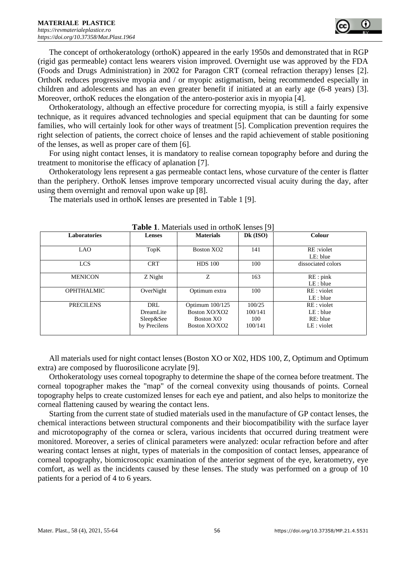The concept of orthokeratology (orthoK) appeared in the early 1950s and demonstrated that in RGP (rigid gas permeable) contact lens wearers vision improved. Overnight use was approved by the FDA (Foods and Drugs Administration) in 2002 for Paragon CRT (corneal refraction therapy) lenses [2]. OrthoK reduces progressive myopia and / or myopic astigmatism, being recommended especially in children and adolescents and has an even greater benefit if initiated at an early age (6-8 years) [3]. Moreover, orthoK reduces the elongation of the antero-posterior axis in myopia [4].

Orthokeratology, although an effective procedure for correcting myopia, is still a fairly expensive technique, as it requires advanced technologies and special equipment that can be daunting for some families, who will certainly look for other ways of treatment [5]. Complication prevention requires the right selection of patients, the correct choice of lenses and the rapid achievement of stable positioning of the lenses, as well as proper care of them [6].

For using night contact lenses, it is mandatory to realise cornean topography before and during the treatment to monitorise the efficacy of aplanation [7].

Orthokeratology lens represent a gas permeable contact lens, whose curvature of the center is flatter than the periphery. OrthoK lenses improve temporary uncorrected visual acuity during the day, after using them overnight and removal upon wake up [8].

| <b>Table 1.</b> Materials used in orthoK lenses [9] |                                               |                                                                |                                     |                                                     |
|-----------------------------------------------------|-----------------------------------------------|----------------------------------------------------------------|-------------------------------------|-----------------------------------------------------|
| Laboratories                                        | <b>Lenses</b>                                 | <b>Materials</b>                                               | $Dk$ (ISO)                          | Colour                                              |
| <b>LAO</b>                                          | TopK                                          | Boston XO <sub>2</sub>                                         | 141                                 | RE:violet<br>LE: blue                               |
| <b>LCS</b>                                          | <b>CRT</b>                                    | <b>HDS</b> 100                                                 | 100                                 | dissociated colors                                  |
| <b>MENICON</b>                                      | Z Night                                       | Z                                                              | 163                                 | RE: pink<br>LE: blue                                |
| <b>OPHTHALMIC</b>                                   | OverNight                                     | Optimum extra                                                  | 100                                 | RE : violet<br>LE: blue                             |
| <b>PRECILENS</b>                                    | DRL<br>DreamLite<br>Sleep&See<br>by Precilens | Optimum 100/125<br>Boston XO/XO2<br>Boston XO<br>Boston XO/XO2 | 100/25<br>100/141<br>100<br>100/141 | RE : violet<br>LE: blue<br>RE: blue<br>$LE:$ violet |

The materials used in orthoK lenses are presented in Table 1 [9].

All materials used for night contact lenses (Boston XO or X02, HDS 100, Z, Optimum and Optimum extra) are composed by fluorosilicone acrylate [9].

Orthokeratology uses corneal topography to determine the shape of the cornea before treatment. The corneal topographer makes the "map" of the corneal convexity using thousands of points. Corneal topography helps to create customized lenses for each eye and patient, and also helps to monitorize the corneal flattening caused by wearing the contact lens.

Starting from the current state of studied materials used in the manufacture of GP contact lenses, the chemical interactions between structural components and their biocompatibility with the surface layer and microtopography of the cornea or sclera, various incidents that occurred during treatment were monitored. Moreover, a series of clinical parameters were analyzed: ocular refraction before and after wearing contact lenses at night, types of materials in the composition of contact lenses, appearance of corneal topography, biomicroscopic examination of the anterior segment of the eye, keratometry, eye comfort, as well as the incidents caused by these lenses. The study was performed on a group of 10 patients for a period of 4 to 6 years.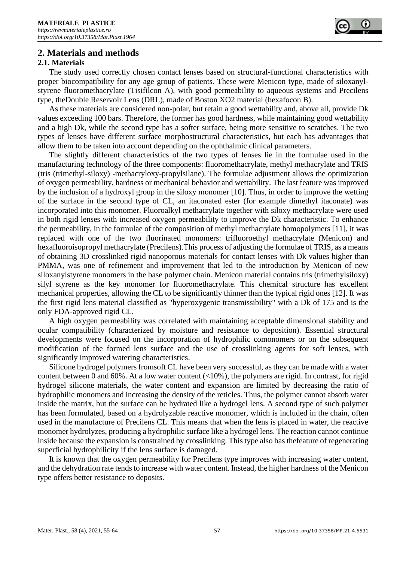

## **2. Materials and methods**

#### **2.1. Materials**

The study used correctly chosen contact lenses based on structural-functional characteristics with proper biocompatibility for any age group of patients. These were Menicon type, made of siloxanylstyrene fluoromethacrylate (Tisifilcon A), with good permeability to aqueous systems and Precilens type, theDouble Reservoir Lens (DRL), made of Boston XO2 material (hexafocon B).

As these materials are considered non-polar, but retain a good wettability and, above all, provide Dk values exceeding 100 bars. Therefore, the former has good hardness, while maintaining good wettability and a high Dk, while the second type has a softer surface, being more sensitive to scratches. The two types of lenses have different surface morphostructural characteristics, but each has advantages that allow them to be taken into account depending on the ophthalmic clinical parameters.

The slightly different characteristics of the two types of lenses lie in the formulae used in the manufacturing technology of the three components: fluoromethacrylate, methyl methacrylate and TRIS (tris (trimethyl-siloxy) -methacryloxy-propylsilane). The formulae adjustment allows the optimization of oxygen permeability, hardness or mechanical behavior and wettability. The last feature was improved by the inclusion of a hydroxyl group in the siloxy monomer [10]. Thus, in order to improve the wetting of the surface in the second type of CL, an itaconated ester (for example dimethyl itaconate) was incorporated into this monomer. Fluoroalkyl methacrylate together with siloxy methacrylate were used in both rigid lenses with increased oxygen permeability to improve the Dk characteristic. To enhance the permeability, in the formulae of the composition of methyl methacrylate homopolymers [11], it was replaced with one of the two fluorinated monomers: trifluoroethyl methacrylate (Menicon) and hexafluoroisopropyl methacrylate (Precilens).This process of adjusting the formulae of TRIS, as a means of obtaining 3D crosslinked rigid nanoporous materials for contact lenses with Dk values higher than PMMA, was one of refinement and improvement that led to the introduction by Menicon of new siloxanylstyrene monomers in the base polymer chain. Menicon material contains tris (trimethylsiloxy) silyl styrene as the key monomer for fluoromethacrylate. This chemical structure has excellent mechanical properties, allowing the CL to be significantly thinner than the typical rigid ones [12]. It was the first rigid lens material classified as "hyperoxygenic transmissibility" with a Dk of 175 and is the only FDA-approved rigid CL.

A high oxygen permeability was correlated with maintaining acceptable dimensional stability and ocular compatibility (characterized by moisture and resistance to deposition). Essential structural developments were focused on the incorporation of hydrophilic comonomers or on the subsequent modification of the formed lens surface and the use of crosslinking agents for soft lenses, with significantly improved watering characteristics.

Silicone hydrogel polymers fromsoft CL have been very successful, as they can be made with a water content between 0 and 60%. At a low water content  $($ <10%), the polymers are rigid. In contrast, for rigid hydrogel silicone materials, the water content and expansion are limited by decreasing the ratio of hydrophilic monomers and increasing the density of the reticles. Thus, the polymer cannot absorb water inside the matrix, but the surface can be hydrated like a hydrogel lens. A second type of such polymer has been formulated, based on a hydrolyzable reactive monomer, which is included in the chain, often used in the manufacture of Precilens CL. This means that when the lens is placed in water, the reactive monomer hydrolyzes, producing a hydrophilic surface like a hydrogel lens. The reaction cannot continue inside because the expansion is constrained by crosslinking. This type also has thefeature of regenerating superficial hydrophilicity if the lens surface is damaged.

It is known that the oxygen permeability for Precilens type improves with increasing water content, and the dehydration rate tends to increase with water content. Instead, the higher hardness of the Menicon type offers better resistance to deposits.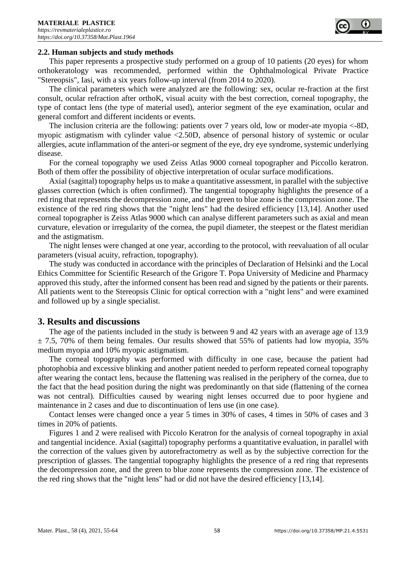

#### **2.2. Human subjects and study methods**

This paper represents a prospective study performed on a group of 10 patients (20 eyes) for whom orthokeratology was recommended, performed within the Ophthalmological Private Practice "Stereopsis", Iasi, with a six years follow-up interval (from 2014 to 2020).

The clinical parameters which were analyzed are the following: sex, ocular re-fraction at the first consult, ocular refraction after orthoK, visual acuity with the best correction, corneal topography, the type of contact lens (the type of material used), anterior segment of the eye examination, ocular and general comfort and different incidents or events.

The inclusion criteria are the following: patients over 7 years old, low or moder-ate myopia <-8D, myopic astigmatism with cylinder value <2.50D, absence of personal history of systemic or ocular allergies, acute inflammation of the anteri-or segment of the eye, dry eye syndrome, systemic underlying disease.

For the corneal topography we used Zeiss Atlas 9000 corneal topographer and Piccollo keratron. Both of them offer the possibility of objective interpretation of ocular surface modifications.

Axial (sagittal) topography helps us to make a quantitative assessment, in parallel with the subjective glasses correction (which is often confirmed). The tangential topography highlights the presence of a red ring that represents the decompression zone, and the green to blue zone is the compression zone. The existence of the red ring shows that the "night lens" had the desired efficiency [13,14]. Another used corneal topographer is Zeiss Atlas 9000 which can analyse different parameters such as axial and mean curvature, elevation or irregularity of the cornea, the pupil diameter, the steepest or the flatest meridian and the astigmatism.

The night lenses were changed at one year, according to the protocol, with reevaluation of all ocular parameters (visual acuity, refraction, topography).

The study was conducted in accordance with the principles of Declaration of Helsinki and the Local Ethics Committee for Scientific Research of the Grigore T. Popa University of Medicine and Pharmacy approved this study, after the informed consent has been read and signed by the patients or their parents. All patients went to the Stereopsis Clinic for optical correction with a "night lens" and were examined and followed up by a single specialist.

### **3. Results and discussions**

The age of the patients included in the study is between 9 and 42 years with an average age of 13.9  $\pm$  7.5, 70% of them being females. Our results showed that 55% of patients had low myopia, 35% medium myopia and 10% myopic astigmatism.

The corneal topography was performed with difficulty in one case, because the patient had photophobia and excessive blinking and another patient needed to perform repeated corneal topography after wearing the contact lens, because the flattening was realised in the periphery of the cornea, due to the fact that the head position during the night was predominantly on that side (flattening of the cornea was not central). Difficulties caused by wearing night lenses occurred due to poor hygiene and maintenance in 2 cases and due to discontinuation of lens use (in one case).

Contact lenses were changed once a year 5 times in 30% of cases, 4 times in 50% of cases and 3 times in 20% of patients.

Figures 1 and 2 were realised with Piccolo Keratron for the analysis of corneal topography in axial and tangential incidence. Axial (sagittal) topography performs a quantitative evaluation, in parallel with the correction of the values given by autorefractometry as well as by the subjective correction for the prescription of glasses. The tangential topography highlights the presence of a red ring that represents the decompression zone, and the green to blue zone represents the compression zone. The existence of the red ring shows that the "night lens" had or did not have the desired efficiency [13,14].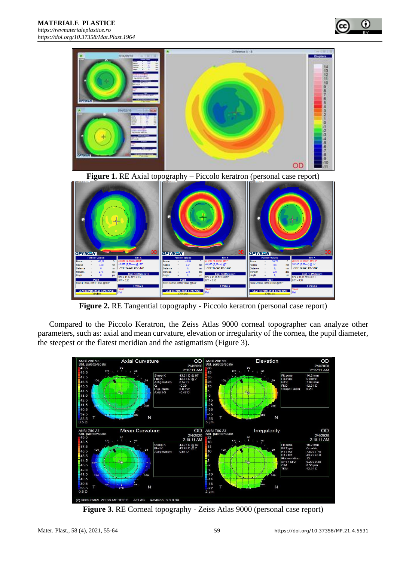



**Figure 2.** RE Tangential topography - Piccolo keratron (personal case report)

Compared to the Piccolo Keratron, the Zeiss Atlas 9000 corneal topographer can analyze other parameters, such as: axial and mean curvature, elevation or irregularity of the cornea, the pupil diameter, the steepest or the flatest meridian and the astigmatism (Figure 3).



**Figure 3.** RE Corneal topography - Zeiss Atlas 9000 (personal case report)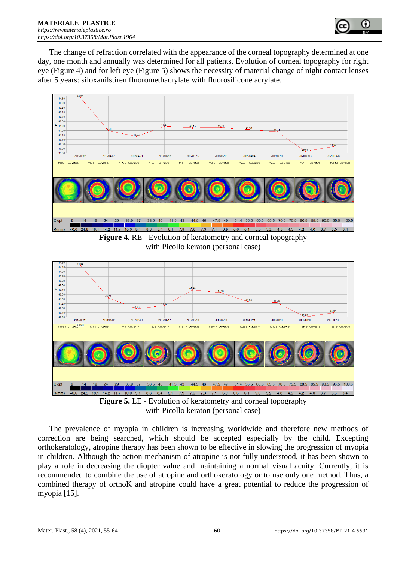

The change of refraction correlated with the appearance of the corneal topography determined at one day, one month and annually was determined for all patients. Evolution of corneal topography for right eye (Figure 4) and for left eye (Figure 5) shows the necessity of material change of night contact lenses after 5 years: siloxanilstiren fluoromethacrylate with fluorosilicone acrylate.



**Figure 4.** RE - Evolution of keratometry and corneal topography with Picollo keraton (personal case)



**Figure 5.** LE - Evolution of keratometry and corneal topography with Picollo keraton (personal case)

The prevalence of myopia in children is increasing worldwide and therefore new methods of correction are being searched, which should be accepted especially by the child. Excepting orthokeratology, atropine therapy has been shown to be effective in slowing the progression of myopia in children. Although the action mechanism of atropine is not fully understood, it has been shown to play a role in decreasing the diopter value and maintaining a normal visual acuity. Currently, it is recommended to combine the use of atropine and orthokeratology or to use only one method. Thus, a combined therapy of orthoK and atropine could have a great potential to reduce the progression of myopia [15].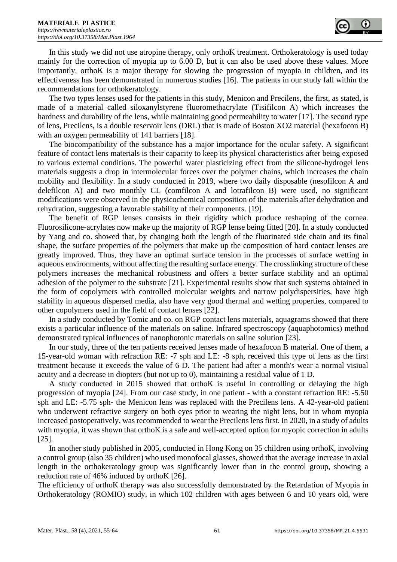

In this study we did not use atropine therapy, only orthoK treatment. Orthokeratology is used today mainly for the correction of myopia up to 6.00 D, but it can also be used above these values. More importantly, orthoK is a major therapy for slowing the progression of myopia in children, and its effectiveness has been demonstrated in numerous studies [16]. The patients in our study fall within the recommendations for orthokeratology.

The two types lenses used for the patients in this study, Menicon and Precilens, the first, as stated, is made of a material called siloxanylstyrene fluoromethacrylate (Tisifilcon A) which increases the hardness and durability of the lens, while maintaining good permeability to water [17]. The second type of lens, Precilens, is a double reservoir lens (DRL) that is made of Boston XO2 material (hexafocon B) with an oxygen permeability of 141 barriers [18].

The biocompatibility of the substance has a major importance for the ocular safety. A significant feature of contact lens materials is their capacity to keep its physical characteristics after being exposed to various external conditions. The powerful water plasticizing effect from the silicone-hydrogel lens materials suggests a drop in intermolecular forces over the polymer chains, which increases the chain mobility and flexibility. In a study conducted in 2019, where two daily disposable (nesofilcon A and delefilcon A) and two monthly CL (comfilcon A and lotrafilcon B) were used, no significant modifications were observed in the physicochemical composition of the materials after dehydration and rehydration, suggesting a favorable stability of their components. [19].

The benefit of RGP lenses consists in their rigidity which produce reshaping of the cornea. Fluorosilicone-acrylates now make up the majority of RGP lense being fitted [20]. In a study conducted by Yang and co. showed that, by changing both the length of the fluorinated side chain and its final shape, the surface properties of the polymers that make up the composition of hard contact lenses are greatly improved. Thus, they have an optimal surface tension in the processes of surface wetting in aqueous environments, without affecting the resulting surface energy. The crosslinking structure of these polymers increases the mechanical robustness and offers a better surface stability and an optimal adhesion of the polymer to the substrate [21]. Experimental results show that such systems obtained in the form of copolymers with controlled molecular weights and narrow polydispersities, have high stability in aqueous dispersed media, also have very good thermal and wetting properties, compared to other copolymers used in the field of contact lenses [22].

In a study conducted by Tomic and co. on RGP contact lens materials, aquagrams showed that there exists a particular influence of the materials on saline. Infrared spectroscopy (aquaphotomics) method demonstrated typical influences of nanophotonic materials on saline solution [23].

In our study, three of the ten patients received lenses made of hexafocon B material. One of them, a 15-year-old woman with refraction RE: -7 sph and LE: -8 sph, received this type of lens as the first treatment because it exceeds the value of 6 D. The patient had after a month's wear a normal visiual acuity and a decrease in diopters (but not up to 0), maintaining a residual value of 1 D.

A study conducted in 2015 showed that orthoK is useful in controlling or delaying the high progression of myopia [24]. From our case study, in one patient - with a constant refraction RE: -5.50 sph and LE: -5.75 sph- the Menicon lens was replaced with the Precilens lens. A 42-year-old patient who underwent refractive surgery on both eyes prior to wearing the night lens, but in whom myopia increased postoperatively, was recommended to wear the Precilens lens first. In 2020, in a study of adults with myopia, it was shown that orthoK is a safe and well-accepted option for myopic correction in adults [25].

In another study published in 2005, conducted in Hong Kong on 35 children using orthoK, involving a control group (also 35 children) who used monofocal glasses, showed that the average increase in axial length in the orthokeratology group was significantly lower than in the control group, showing a reduction rate of 46% induced by orthoK [26].

The efficiency of orthoK therapy was also successfully demonstrated by the Retardation of Myopia in Orthokeratology (ROMIO) study, in which 102 children with ages between 6 and 10 years old, were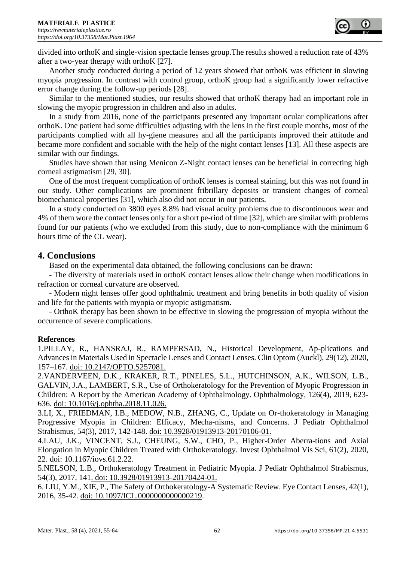

divided into orthoK and single-vision spectacle lenses group.The results showed a reduction rate of 43% after a two-year therapy with orthoK [27].

Another study conducted during a period of 12 years showed that orthoK was efficient in slowing myopia progression. In contrast with control group, orthoK group had a significantly lower refractive error change during the follow-up periods [28].

Similar to the mentioned studies, our results showed that orthoK therapy had an important role in slowing the myopic progression in children and also in adults.

In a study from 2016, none of the participants presented any important ocular complications after orthoK. One patient had some difficulties adjusting with the lens in the first couple months, most of the participants complied with all hy-giene measures and all the participants improved their attitude and became more confident and sociable with the help of the night contact lenses [13]. All these aspects are similar with our findings.

Studies have shown that using Menicon Z-Night contact lenses can be beneficial in correcting high corneal astigmatism [29, 30].

One of the most frequent complication of orthoK lenses is corneal staining, but this was not found in our study. Other complications are prominent fribrillary deposits or transient changes of corneal biomechanical properties [31], which also did not occur in our patients.

In a study conducted on 3800 eyes 8.8% had visual acuity problems due to discontinuous wear and 4% of them wore the contact lenses only for a short pe-riod of time [32], which are similar with problems found for our patients (who we excluded from this study, due to non-compliance with the minimum 6 hours time of the CL wear).

## **4. Conclusions**

Based on the experimental data obtained, the following conclusions can be drawn:

- The diversity of materials used in orthoK contact lenses allow their change when modifications in refraction or corneal curvature are observed.

- Modern night lenses offer good ophthalmic treatment and bring benefits in both quality of vision and life for the patients with myopia or myopic astigmatism.

- OrthoK therapy has been shown to be effective in slowing the progression of myopia without the occurrence of severe complications.

## **References**

1.PILLAY, R., HANSRAJ, R., RAMPERSAD, N., Historical Development, Ap-plications and Advances in Materials Used in Spectacle Lenses and Contact Lenses. Clin Optom (Auckl), 29(12), 2020, 157–167. doi: 10.2147/OPTO.S257081.

2.VANDERVEEN, D.K., KRAKER, R.T., PINELES, S.L., HUTCHINSON, A.K., WILSON, L.B., GALVIN, J.A., LAMBERT, S.R., Use of Orthokeratology for the Prevention of Myopic Progression in Children: A Report by the American Academy of Ophthalmology. Ophthalmology, 126(4), 2019, 623- 636. doi: 10.1016/j.ophtha.2018.11.026.

3.LI, X., FRIEDMAN, I.B., MEDOW, N.B., ZHANG, C., Update on Or-thokeratology in Managing Progressive Myopia in Children: Efficacy, Mecha-nisms, and Concerns. J Pediatr Ophthalmol Strabismus, 54(3), 2017, 142-148. doi: 10.3928/01913913-20170106-01.

4.LAU, J.K., VINCENT, S.J., CHEUNG, S.W., CHO, P., Higher-Order Aberra-tions and Axial Elongation in Myopic Children Treated with Orthokeratology. Invest Ophthalmol Vis Sci, 61(2), 2020, 22. doi: 10.1167/iovs.61.2.22.

5.NELSON, L.B., Orthokeratology Treatment in Pediatric Myopia. J Pediatr Ophthalmol Strabismus, 54(3), 2017, 141. doi: 10.3928/01913913-20170424-01.

6. LIU, Y.M., XIE, P., The Safety of Orthokeratology-A Systematic Review. Eye Contact Lenses, 42(1), 2016, 35-42. doi: 10.1097/ICL.0000000000000219.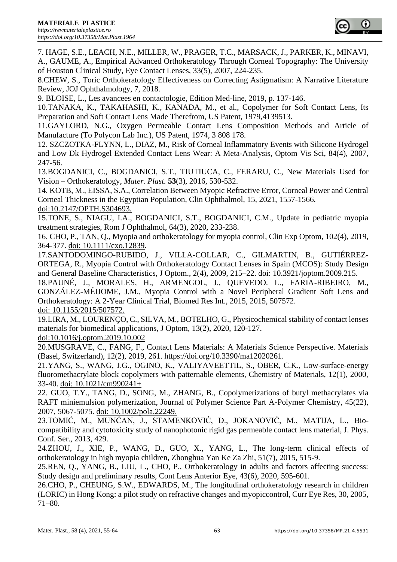

7. HAGE, S.E., LEACH, N.E., MILLER, W., PRAGER, T.C., MARSACK, J., PARKER, K., MINAVI, A., GAUME, A., Empirical Advanced Orthokeratology Through Corneal Topography: The University of Houston Clinical Study, Eye Contact Lenses, 33(5), 2007, 224-235.

8.CHEW, S., Toric Orthokeratology Effectiveness on Correcting Astigmatism: A Narrative Literature Review, JOJ Ophthalmology, 7, 2018.

9. BLOISE, L., Les avancees en contactologie, Edition Med-line, 2019, p. 137-146.

10.TANAKA, K., TAKAHASHI, K., KANADA, M., et al., Copolymer for Soft Contact Lens, Its Preparation and Soft Contact Lens Made Therefrom, US Patent, 1979,4139513.

11.GAYLORD, N.G., Oxygen Permeable Contact Lens Composition Methods and Article of Manufacture (To Polycon Lab Inc.), US Patent, 1974, 3 808 178.

12. SZCZOTKA-FLYNN, L., DIAZ, M., Risk of Corneal Inflammatory Events with Silicone Hydrogel and Low Dk Hydrogel Extended Contact Lens Wear: A Meta-Analysis, Optom Vis Sci, 84(4), 2007, 247-56.

13.BOGDANICI, C., BOGDANICI, S.T., TIUTIUCA, C., FERARU, C., New Materials Used for Vision – Orthokeratology, *Mater. Plast.* **53**(3), 2016, 530-532.

14. KOTB, M., EISSA, S.A., Correlation Between Myopic Refractive Error, Corneal Power and Central Corneal Thickness in the Egyptian Population, Clin Ophthalmol, 15, 2021, 1557-1566. doi:10.2147/OPTH.S304693.

15.TONE, S., NIAGU, I.A., BOGDANICI, S.T., BOGDANICI, C.M., Update in pediatric myopia treatment strategies, Rom J Ophthalmol, 64(3), 2020, 233-238.

16. CHO, P., TAN, Q., Myopia and orthokeratology for myopia control, Clin Exp Optom, 102(4), 2019, 364-377. doi: 10.1111/cxo.12839.

17.SANTODOMINGO-RUBIDO, J., VILLA-COLLAR, C., GILMARTIN, B., GUTIÉRREZ-ORTEGA, R., Myopia Control with Orthokeratology Contact Lenses in Spain (MCOS): Study Design and General Baseline Characteristics, J Optom., 2(4), 2009, 215–22. doi: 10.3921/joptom.2009.215.

18.PAUNÉ, J., MORALES, H., ARMENGOL, J., QUEVEDO. L., FARIA-RIBEIRO, M., GONZÁLEZ-MÉIJOME, J.M., Myopia Control with a Novel Peripheral Gradient Soft Lens and Orthokeratology: A 2-Year Clinical Trial, Biomed Res Int., 2015, 2015, 507572. doi: 10.1155/2015/507572.

19.LIRA, M., LOURENÇO, C., SILVA, M., BOTELHO, G., Physicochemical stability of contact lenses materials for biomedical applications, J Optom, 13(2), 2020, 120-127.

doi:10.1016/j.optom.2019.10.002

20.MUSGRAVE, C., FANG, F., Contact Lens Materials: A Materials Science Perspective. Materials (Basel, Switzerland), 12(2), 2019, 261. [https://doi.org/10.3390/ma12020261.](https://doi.org/10.3390/ma12020261)

21.YANG, S., WANG, J.G., OGINO, K., VALIYAVEETTIL, S., OBER, C.K., Low-surface-energy fluoromethacrylate block copolymers with patternable elements, Chemistry of Materials, 12(1), 2000, 33-40. doi: 10.1021/cm990241+

22. GUO, T.Y., TANG, D., SONG, M., ZHANG, B., Copolymerizations of butyl methacrylates via RAFT miniemulsion polymerization, Journal of Polymer Science Part A-Polymer Chemistry, 45(22), 2007, 5067-5075. doi: 10.1002/pola.22249.

23.TOMIĆ, M., MUNĆAN, J., STAMENKOVIĆ, D., JOKANOVIĆ, M., MATIJA, L., Biocompatibility and cytotoxicity study of nanophotonic rigid gas permeable contact lens material, J. Phys. Conf. Ser., 2013, 429.

24.ZHOU, J., XIE, P., WANG, D., GUO, X., YANG, L., The long-term clinical effects of orthokeratology in high myopia children, Zhonghua Yan Ke Za Zhi, 51(7), 2015, 515-9.

25.REN, Q., YANG, B., LIU, L., CHO, P., Orthokeratology in adults and factors affecting success: Study design and preliminary results, Cont Lens Anterior Eye, 43(6), 2020, 595-601.

26.CHO, P., CHEUNG, S.W., EDWARDS, M., The longitudinal orthokeratology research in children (LORIC) in Hong Kong: a pilot study on refractive changes and myopiccontrol, Curr Eye Res, 30, 2005, 71–80.